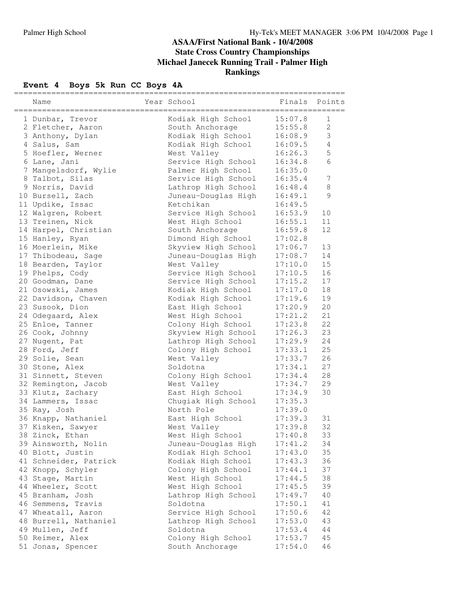#### **ASAA/First National Bank - 10/4/2008 State Cross Country Championships Michael Janecek Running Trail - Palmer High Rankings**

# **Event** 4 **Boys** 5k **Run** CC **Boys** 4A

| Name                                        | Year School                                | Finals             | Points         |
|---------------------------------------------|--------------------------------------------|--------------------|----------------|
| 1 Dunbar, Trevor                            | Kodiak High School                         | 15:07.8            | 1              |
| 2 Fletcher, Aaron                           | South Anchorage                            | 15:55.8            | $\overline{2}$ |
| 3 Anthony, Dylan                            | Kodiak High School                         | 16:08.9            | 3              |
| 4 Salus, Sam                                | Kodiak High School                         | 16:09.5            | 4              |
| 5 Hoefler, Werner                           | West Valley                                | 16:26.3            | 5              |
| 6 Lane, Jani                                | Service High School                        | 16:34.8            | 6              |
| 7 Mangelsdorf, Wylie                        | Palmer High School                         | 16:35.0            |                |
| 8 Talbot, Silas                             | Service High School                        | 16:35.4            | 7              |
| 9 Norris, David                             | Lathrop High School                        | 16:48.4            | 8              |
| 10 Bursell, Zach                            | Juneau-Douglas High                        | 16:49.1            | 9              |
| 11 Updike, Issac                            | Ketchikan                                  | 16:49.5            |                |
| 12 Walgren, Robert                          | Service High School                        | 16:53.9            | 10             |
| 13 Treinen, Nick                            | West High School                           | 16:55.1            | 11             |
| 14 Harpel, Christian                        | South Anchorage                            | 16:59.8            | 12             |
| 15 Hanley, Ryan                             | Dimond High School                         | 17:02.8            |                |
| 16 Moerlein, Mike                           | Skyview High School                        | 17:06.7            | 13             |
| 17 Thibodeau, Sage                          | Juneau-Douglas High                        | 17:08.7            | 14             |
| 18 Bearden, Taylor                          | West Valley                                | 17:10.0            | 15             |
| 19 Phelps, Cody                             | Service High School                        | 17:10.5            | 16             |
| 20 Goodman, Dane                            | Service High School                        | 17:15.2            | 17             |
| 21 Osowski, James                           | Kodiak High School                         | 17:17.0            | 18             |
| 22 Davidson, Chaven                         | Kodiak High School                         | 17:19.6            | 19             |
| 23 Susook, Dion                             | East High School                           | 17:20.9            | 20             |
| 24 Odegaard, Alex                           | West High School                           | 17:21.2            | 21             |
| 25 Enloe, Tanner                            | Colony High School                         | 17:23.8            | 22             |
| 26 Cook, Johnny                             | Skyview High School                        | 17:26.3            | 23             |
| 27 Nugent, Pat                              | Lathrop High School                        | 17:29.9            | 24             |
| 28 Ford, Jeff                               | Colony High School                         | 17:33.1            | 25             |
| 29 Solie, Sean                              | West Valley                                | 17:33.7            | 26             |
| 30 Stone, Alex                              | Soldotna                                   | 17:34.1            | 27             |
| 31 Sinnett, Steven                          | Colony High School                         | 17:34.4            | 28             |
| 32 Remington, Jacob                         | West Valley                                | 17:34.7            | 29             |
| 33 Klutz, Zachary                           | East High School                           | 17:34.9            | 30             |
| 34 Lammers, Issac                           | Chugiak High School                        | 17:35.3            |                |
| 35 Ray, Josh                                | North Pole                                 | 17:39.0            |                |
| 36 Knapp, Nathaniel                         | East High School                           | 17:39.3            | 31             |
| 37 Kisken, Sawyer                           | West Valley                                | 17:39.8            | 32             |
| 38 Zinck, Ethan                             | West High School                           | 17:40.8            | 33             |
| 39 Ainsworth, Nolin                         | Juneau-Douglas High                        | 17:41.2            | 34             |
| 40 Blott, Justin                            | Kodiak High School                         | 17:43.0            | 35             |
| 41 Schneider, Patrick                       | Kodiak High School                         | 17:43.3            | 36             |
| 42 Knopp, Schyler                           | Colony High School                         | 17:44.1            | 37             |
| 43 Stage, Martin                            |                                            |                    | 38             |
|                                             | West High School                           | 17:44.5            | 39             |
| 44 Wheeler, Scott<br>45 Branham, Josh       | West High School<br>Lathrop High School    | 17:45.5<br>17:49.7 | 40             |
| 46 Semmens, Travis                          | Soldotna                                   | 17:50.1            | 41             |
|                                             |                                            |                    | 42             |
| 47 Wheatall, Aaron<br>48 Burrell, Nathaniel | Service High School<br>Lathrop High School | 17:50.6<br>17:53.0 | 43             |
| 49 Mullen, Jeff                             | Soldotna                                   |                    | 44             |
| 50 Reimer, Alex                             | Colony High School                         | 17:53.4<br>17:53.7 | 45             |
| 51 Jonas, Spencer                           | South Anchorage                            | 17:54.0            | 46             |
|                                             |                                            |                    |                |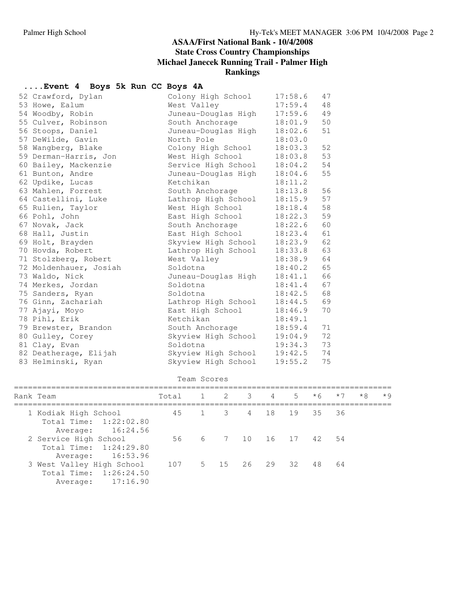#### **ASAA/First National Bank - 10/4/2008 State Cross Country Championships Michael Janecek Running Trail - Palmer High Rankings**

## **....Event 4 Boys 5k Run CC Boys 4A**

| Colony High School                                                                                                                                                                                                                                                                                                                                                                                                                                                                                                                                                                                                                                                                         | 17:58.6 | 47 |
|--------------------------------------------------------------------------------------------------------------------------------------------------------------------------------------------------------------------------------------------------------------------------------------------------------------------------------------------------------------------------------------------------------------------------------------------------------------------------------------------------------------------------------------------------------------------------------------------------------------------------------------------------------------------------------------------|---------|----|
| West Valley                                                                                                                                                                                                                                                                                                                                                                                                                                                                                                                                                                                                                                                                                | 17:59.4 | 48 |
| Juneau-Douglas High                                                                                                                                                                                                                                                                                                                                                                                                                                                                                                                                                                                                                                                                        | 17:59.6 | 49 |
| South Anchorage                                                                                                                                                                                                                                                                                                                                                                                                                                                                                                                                                                                                                                                                            | 18:01.9 | 50 |
| Juneau-Douglas High                                                                                                                                                                                                                                                                                                                                                                                                                                                                                                                                                                                                                                                                        | 18:02.6 | 51 |
| North Pole                                                                                                                                                                                                                                                                                                                                                                                                                                                                                                                                                                                                                                                                                 | 18:03.0 |    |
| Colony High School                                                                                                                                                                                                                                                                                                                                                                                                                                                                                                                                                                                                                                                                         | 18:03.3 | 52 |
| West High School                                                                                                                                                                                                                                                                                                                                                                                                                                                                                                                                                                                                                                                                           | 18:03.8 | 53 |
| Service High School                                                                                                                                                                                                                                                                                                                                                                                                                                                                                                                                                                                                                                                                        | 18:04.2 | 54 |
| Juneau-Douglas High                                                                                                                                                                                                                                                                                                                                                                                                                                                                                                                                                                                                                                                                        | 18:04.6 | 55 |
| Ketchikan                                                                                                                                                                                                                                                                                                                                                                                                                                                                                                                                                                                                                                                                                  | 18:11.2 |    |
| South Anchorage                                                                                                                                                                                                                                                                                                                                                                                                                                                                                                                                                                                                                                                                            | 18:13.8 | 56 |
| Lathrop High School                                                                                                                                                                                                                                                                                                                                                                                                                                                                                                                                                                                                                                                                        | 18:15.9 | 57 |
| West High School                                                                                                                                                                                                                                                                                                                                                                                                                                                                                                                                                                                                                                                                           | 18:18.4 | 58 |
| East High School                                                                                                                                                                                                                                                                                                                                                                                                                                                                                                                                                                                                                                                                           | 18:22.3 | 59 |
| South Anchorage                                                                                                                                                                                                                                                                                                                                                                                                                                                                                                                                                                                                                                                                            | 18:22.6 | 60 |
| East High School                                                                                                                                                                                                                                                                                                                                                                                                                                                                                                                                                                                                                                                                           | 18:23.4 | 61 |
| Skyview High School                                                                                                                                                                                                                                                                                                                                                                                                                                                                                                                                                                                                                                                                        | 18:23.9 | 62 |
| Lathrop High School                                                                                                                                                                                                                                                                                                                                                                                                                                                                                                                                                                                                                                                                        | 18:33.8 | 63 |
| West Valley                                                                                                                                                                                                                                                                                                                                                                                                                                                                                                                                                                                                                                                                                | 18:38.9 | 64 |
| Soldotna                                                                                                                                                                                                                                                                                                                                                                                                                                                                                                                                                                                                                                                                                   | 18:40.2 | 65 |
| Juneau-Douglas High                                                                                                                                                                                                                                                                                                                                                                                                                                                                                                                                                                                                                                                                        | 18:41.1 | 66 |
| Soldotna                                                                                                                                                                                                                                                                                                                                                                                                                                                                                                                                                                                                                                                                                   | 18:41.4 | 67 |
| Soldotna                                                                                                                                                                                                                                                                                                                                                                                                                                                                                                                                                                                                                                                                                   | 18:42.5 | 68 |
| Lathrop High School                                                                                                                                                                                                                                                                                                                                                                                                                                                                                                                                                                                                                                                                        | 18:44.5 | 69 |
| East High School                                                                                                                                                                                                                                                                                                                                                                                                                                                                                                                                                                                                                                                                           | 18:46.9 | 70 |
| Ketchikan                                                                                                                                                                                                                                                                                                                                                                                                                                                                                                                                                                                                                                                                                  | 18:49.1 |    |
| South Anchorage                                                                                                                                                                                                                                                                                                                                                                                                                                                                                                                                                                                                                                                                            | 18:59.4 | 71 |
| Skyview High School                                                                                                                                                                                                                                                                                                                                                                                                                                                                                                                                                                                                                                                                        | 19:04.9 | 72 |
| Soldotna                                                                                                                                                                                                                                                                                                                                                                                                                                                                                                                                                                                                                                                                                   | 19:34.3 | 73 |
| Skyview High School                                                                                                                                                                                                                                                                                                                                                                                                                                                                                                                                                                                                                                                                        | 19:42.5 | 74 |
| Skyview High School                                                                                                                                                                                                                                                                                                                                                                                                                                                                                                                                                                                                                                                                        | 19:55.2 | 75 |
| 52 Crawford, Dylan<br>53 Howe, Ealum<br>54 Woodby, Robin<br>55 Culver, Robinson<br>56 Stoops, Daniel<br>57 DeWilde, Gavin<br>58 Wangberg, Blake<br>59 Derman-Harris, Jon<br>60 Bailey, Mackenzie<br>61 Bunton, Andre<br>62 Updike, Lucas<br>63 Mahlen, Forrest<br>64 Castellini, Luke<br>65 Rulien, Taylor<br>66 Pohl, John<br>67 Novak, Jack<br>68 Hall, Justin<br>69 Holt, Brayden<br>70 Hovda, Robert<br>71 Stolzberg, Robert<br>72 Moldenhauer, Josiah<br>73 Waldo, Nick<br>74 Merkes, Jordan<br>75 Sanders, Ryan<br>76 Ginn, Zachariah<br>77 Ajayi, Moyo<br>78 Pihl, Erik<br>79 Brewster, Brandon<br>80 Gulley, Corey<br>81 Clay, Evan<br>82 Deatherage, Elijah<br>83 Helminski, Ryan |         |    |

| Team Scores |                                                                               |                       |  |  |            |  |    |          |      |      |      |
|-------------|-------------------------------------------------------------------------------|-----------------------|--|--|------------|--|----|----------|------|------|------|
|             | Rank Team                                                                     | Total                 |  |  | 1 2 3 4    |  |    | $5 * 6$  | $*7$ | $*8$ | $*9$ |
|             | 1 Kodiak High School<br>Total Time: 1:22:02.80<br>16:24.56<br>Average:        | 45                    |  |  | 1 3 4 18   |  |    | 19 35 36 |      |      |      |
|             | 2 Service High School<br>Total Time: 1:24:29.80<br>16:53.96<br>Average:       | 56 6 7 10 16 17 42 54 |  |  |            |  |    |          |      |      |      |
|             | 3 West Valley High School<br>Total Time: $1:26:24.50$<br>17:16.90<br>Average: | 107                   |  |  | 5 15 26 29 |  | 32 | 48       | 64   |      |      |